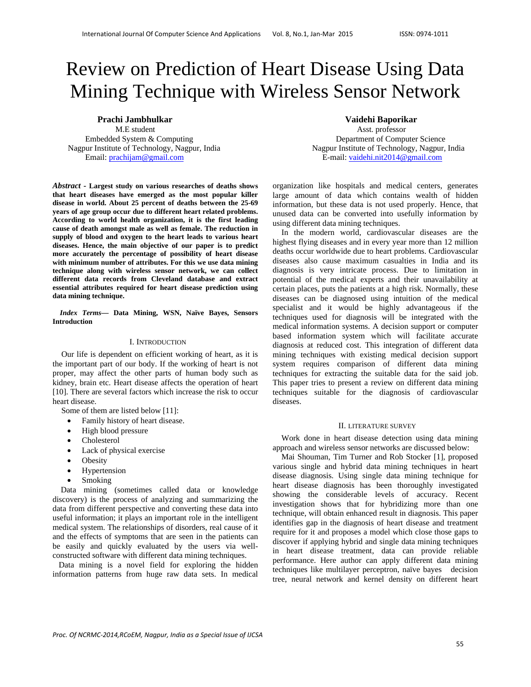# Review on Prediction of Heart Disease Using Data Mining Technique with Wireless Sensor Network

Email: prachijam@gmail.com E-mail: vaidehi.nit2014@gmail.com

*Abstract -* **Largest study on various researches of deaths shows that heart diseases have emerged as the most popular killer disease in world. About 25 percent of deaths between the 25-69 years of age group occur due to different heart related problems. According to world health organization, it is the first leading cause of death amongst male as well as female. The reduction in supply of blood and oxygen to the heart leads to various heart diseases. Hence, the main objective of our paper is to predict more accurately the percentage of possibility of heart disease with minimum number of attributes. For this we use data mining technique along with wireless sensor network, we can collect different data records from Cleveland database and extract essential attributes required for heart disease prediction using data mining technique.**

*Index Terms***— Data Mining, WSN, Naïve Bayes, Sensors Introduction** 

# I. INTRODUCTION

Our life is dependent on efficient working of heart, as it is the important part of our body. If the working of heart is not proper, may affect the other parts of human body such as kidney, brain etc. Heart disease affects the operation of heart [10]. There are several factors which increase the risk to occur heart disease.

Some of them are listed below [11]:

- Family history of heart disease.
- High blood pressure
- Cholesterol
- Lack of physical exercise
- Obesity
- Hypertension
- Smoking

 Data mining (sometimes called data or knowledge discovery) is the process of analyzing and summarizing the data from different perspective and converting these data into useful information; it plays an important role in the intelligent medical system. The relationships of disorders, real cause of it and the effects of symptoms that are seen in the patients can be easily and quickly evaluated by the users via wellconstructed software with different data mining techniques.

 Data mining is a novel field for exploring the hidden information patterns from huge raw data sets. In medical

# **Prachi Jambhulkar Vaidehi Baporikar**

Asst. professor Embedded System & Computing Department of Computer Science Nagpur Institute of Technology, Nagpur, India Nagpur Institute of Technology, Nagpur, India

> organization like hospitals and medical centers, generates large amount of data which contains wealth of hidden information, but these data is not used properly. Hence, that unused data can be converted into usefully information by using different data mining techniques.

> In the modern world, cardiovascular diseases are the highest flying diseases and in every year more than 12 million deaths occur worldwide due to heart problems. Cardiovascular diseases also cause maximum casualties in India and its diagnosis is very intricate process. Due to limitation in potential of the medical experts and their unavailability at certain places, puts the patients at a high risk. Normally, these diseases can be diagnosed using intuition of the medical specialist and it would be highly advantageous if the techniques used for diagnosis will be integrated with the medical information systems. A decision support or computer based information system which will facilitate accurate diagnosis at reduced cost. This integration of different data mining techniques with existing medical decision support system requires comparison of different data mining techniques for extracting the suitable data for the said job. This paper tries to present a review on different data mining techniques suitable for the diagnosis of cardiovascular diseases.

## II. LITERATURE SURVEY

Work done in heart disease detection using data mining approach and wireless sensor networks are discussed below:

Mai Shouman, Tim Turner and Rob Stocker [1], proposed various single and hybrid data mining techniques in heart disease diagnosis. Using single data mining technique for heart disease diagnosis has been thoroughly investigated showing the considerable levels of accuracy. Recent investigation shows that for hybridizing more than one technique, will obtain enhanced result in diagnosis. This paper identifies gap in the diagnosis of heart disease and treatment require for it and proposes a model which close those gaps to discover if applying hybrid and single data mining techniques in heart disease treatment, data can provide reliable performance. Here author can apply different data mining techniques like multilayer perceptron, naïve bayes decision tree, neural network and kernel density on different heart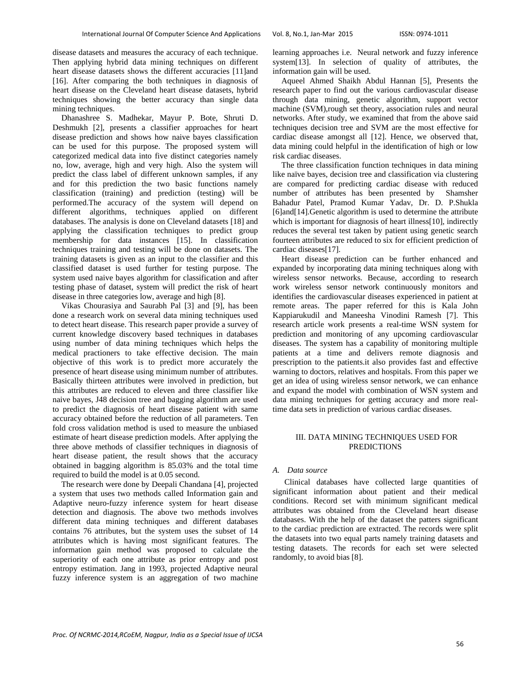disease datasets and measures the accuracy of each technique. Then applying hybrid data mining techniques on different heart disease datasets shows the different accuracies [11]and [16]. After comparing the both techniques in diagnosis of heart disease on the Cleveland heart disease datasets, hybrid techniques showing the better accuracy than single data mining techniques.

Dhanashree S. Madhekar, Mayur P. Bote, Shruti D. Deshmukh [2], presents a classifier approaches for heart disease prediction and shows how naive bayes classification can be used for this purpose. The proposed system will categorized medical data into five distinct categories namely no, low, average, high and very high. Also the system will predict the class label of different unknown samples, if any and for this prediction the two basic functions namely classification (training) and prediction (testing) will be performed.The accuracy of the system will depend on different algorithms, techniques applied on different databases. The analysis is done on Cleveland datasets [18] and applying the classification techniques to predict group membership for data instances [15]. In classification techniques training and testing will be done on datasets. The training datasets is given as an input to the classifier and this classified dataset is used further for testing purpose. The system used naive bayes algorithm for classification and after testing phase of dataset, system will predict the risk of heart disease in three categories low, average and high [8].

Vikas Chourasiya and Saurabh Pal [3] and [9], has been done a research work on several data mining techniques used to detect heart disease. This research paper provide a survey of current knowledge discovery based techniques in databases using number of data mining techniques which helps the medical practioners to take effective decision. The main objective of this work is to predict more accurately the presence of heart disease using minimum number of attributes. Basically thirteen attributes were involved in prediction, but this attributes are reduced to eleven and three classifier like naive bayes, J48 decision tree and bagging algorithm are used to predict the diagnosis of heart disease patient with same accuracy obtained before the reduction of all parameters. Ten fold cross validation method is used to measure the unbiased estimate of heart disease prediction models. After applying the three above methods of classifier techniques in diagnosis of heart disease patient, the result shows that the accuracy obtained in bagging algorithm is 85.03% and the total time required to build the model is at 0.05 second.

The research were done by Deepali Chandana [4], projected a system that uses two methods called Information gain and Adaptive neuro-fuzzy inference system for heart disease detection and diagnosis. The above two methods involves different data mining techniques and different databases contains 76 attributes, but the system uses the subset of 14 attributes which is having most significant features. The information gain method was proposed to calculate the superiority of each one attribute as prior entropy and post entropy estimation. Jang in 1993, projected Adaptive neural fuzzy inference system is an aggregation of two machine learning approaches i.e. Neural network and fuzzy inference system[13]. In selection of quality of attributes, the information gain will be used.

Aqueel Ahmed Shaikh Abdul Hannan [5], Presents the research paper to find out the various cardiovascular disease through data mining, genetic algorithm, support vector machine (SVM),rough set theory, association rules and neural networks. After study, we examined that from the above said techniques decision tree and SVM are the most effective for cardiac disease amongst all [12]. Hence, we observed that, data mining could helpful in the identification of high or low risk cardiac diseases.

The three classification function techniques in data mining like naïve bayes, decision tree and classification via clustering are compared for predicting cardiac disease with reduced number of attributes has been presented by Shamsher Bahadur Patel, Pramod Kumar Yadav, Dr. D. P.Shukla [6]and[14]. Genetic algorithm is used to determine the attribute which is important for diagnosis of heart illness[10], indirectly reduces the several test taken by patient using genetic search fourteen attributes are reduced to six for efficient prediction of cardiac diseases[17].

Heart disease prediction can be further enhanced and expanded by incorporating data mining techniques along with wireless sensor networks. Because, according to research work wireless sensor network continuously monitors and identifies the cardiovascular diseases experienced in patient at remote areas. The paper referred for this is Kala John Kappiarukudil and Maneesha Vinodini Ramesh [7]. This research article work presents a real-time WSN system for prediction and monitoring of any upcoming cardiovascular diseases. The system has a capability of monitoring multiple patients at a time and delivers remote diagnosis and prescription to the patients.it also provides fast and effective warning to doctors, relatives and hospitals. From this paper we get an idea of using wireless sensor network, we can enhance and expand the model with combination of WSN system and data mining techniques for getting accuracy and more realtime data sets in prediction of various cardiac diseases.

# III. DATA MINING TECHNIQUES USED FOR PREDICTIONS

#### *A. Data source*

Clinical databases have collected large quantities of significant information about patient and their medical conditions. Record set with minimum significant medical attributes was obtained from the Cleveland heart disease databases. With the help of the dataset the patters significant to the cardiac prediction are extracted. The records were split the datasets into two equal parts namely training datasets and testing datasets. The records for each set were selected randomly, to avoid bias [8].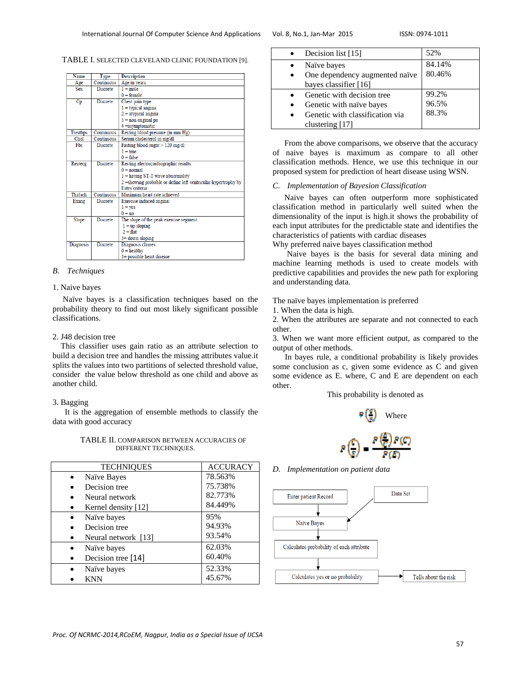TABLE I. SELECTED CLEVELAND CLINIC FOUNDATION [9].

| Name             | Type            | <b>Description</b>                                             |  |  |
|------------------|-----------------|----------------------------------------------------------------|--|--|
| Age              | Continuous      | Age in years                                                   |  |  |
| <b>Sex</b>       | <b>Discrete</b> | $1 = male$                                                     |  |  |
|                  |                 | $0 = female$                                                   |  |  |
| Cp               | <b>Discrete</b> | Chest pain type:                                               |  |  |
|                  |                 | $1 =$ typical angina                                           |  |  |
|                  |                 | $2 =$ atypical angina                                          |  |  |
|                  |                 | $3 = non-anginal$ pa                                           |  |  |
|                  |                 | $4 =$ asymptomatic                                             |  |  |
| <b>Trestbps</b>  | Continuous      | Resting blood pressure (in mm Hg)                              |  |  |
| Chol             | Continuous      | Serum cholesterol in mg/dl                                     |  |  |
| Fbs              | <b>Discrete</b> | Fasting blood sugar $> 120$ mg/dl:                             |  |  |
|                  |                 | $1 = \text{true}$                                              |  |  |
|                  |                 | $0 = false$                                                    |  |  |
| Restecg          | <b>Discrete</b> | Resting electrocardiographic results:                          |  |  |
|                  |                 | $0 = normal$                                                   |  |  |
|                  |                 | $1 =$ having ST-T wave abnormality                             |  |  |
|                  |                 | 2 = showing probable or define left ventricular hypertrophy by |  |  |
|                  |                 | Estes' criteria                                                |  |  |
| Thalach          | Continuous      | Maximum heart rate achieved                                    |  |  |
| Exang            | <b>Discrete</b> | Exercise induced angina:                                       |  |  |
|                  |                 | $1 = \text{ves}$                                               |  |  |
|                  |                 | $0 = no$                                                       |  |  |
| Slope            | <b>Discrete</b> | The slope of the peak exercise segment :                       |  |  |
|                  |                 | $1 = up sloping$                                               |  |  |
|                  |                 | $2 = flat$                                                     |  |  |
|                  |                 | $3 =$ down sloping                                             |  |  |
| <b>Diagnosis</b> | <b>Discrete</b> | Diagnosis classes:                                             |  |  |
|                  |                 | $0 =$ healthy                                                  |  |  |
|                  |                 | $l$ = possible heart disease                                   |  |  |

# *B. Techniques*

#### 1. Naive bayes

 Naïve bayes is a classification techniques based on the probability theory to find out most likely significant possible classifications.

# 2. J48 decision tree

 This classifier uses gain ratio as an attribute selection to build a decision tree and handles the missing attributes value.it splits the values into two partitions of selected threshold value, consider the value below threshold as one child and above as another child.

#### 3. Bagging

 It is the aggregation of ensemble methods to classify the data with good accuracy

 TABLE II. COMPARISON BETWEEN ACCURACIES OF DIFFERENT TECHNIQUES.

| <b>TECHNIQUES</b>   | <b>ACCURACY</b> |
|---------------------|-----------------|
| Naïve Bayes         | 78.563%         |
| Decision tree       | 75.738%         |
| Neural network      | 82.773%         |
| Kernel density [12] | 84.449%         |
| Naïve bayes         | 95%             |
| Decision tree       | 94.93%          |
| Neural network [13] | 93.54%          |
| Naïve bayes         | 62.03%          |
| Decision tree [14]  | 60.40%          |
| Naïve bayes         | 52.33%          |
| KNN                 | 45.67%          |

| Decision list [15]                                                                                           | 52%                     |
|--------------------------------------------------------------------------------------------------------------|-------------------------|
| Naïve bayes<br>One dependency augmented naïve<br>bayes classifier [16]                                       | 84.14%<br>80.46%        |
| Genetic with decision tree<br>Genetic with naïve bayes<br>Genetic with classification via<br>clustering [17] | 99.2%<br>96.5%<br>88.3% |

From the above comparisons, we observe that the accuracy of naive bayes is maximum as compare to all other classification methods. Hence, we use this technique in our proposed system for prediction of heart disease using WSN.

## *C. Implementation of Bayesion Classification*

Naive bayes can often outperform more sophisticated classification method in particularly well suited when the dimensionality of the input is high.it shows the probability of each input attributes for the predictable state and identifies the characteristics of patients with cardiac diseases

Why preferred naive bayes classification method

 Naive bayes is the basis for several data mining and machine learning methods is used to create models with predictive capabilities and provides the new path for exploring and understanding data.

The naïve bayes implementation is preferred

1. When the data is high.

2. When the attributes are separate and not connected to each other.

3. When we want more efficient output, as compared to the output of other methods.

 In bayes rule, a conditional probability is likely provides some conclusion as c, given some evidence as C and given some evidence as E. where, C and E are dependent on each other.

This probability is denoted as

$$
P\left(\frac{p}{p}\right) \quad \text{Where}
$$
\n
$$
P\left(\frac{p}{p}\right) = \frac{P\left(\frac{p}{p}\right)P\left(\frac{p}{p}\right)}{P\left(\frac{p}{p}\right)}
$$

*D. Implementation on patient data* 

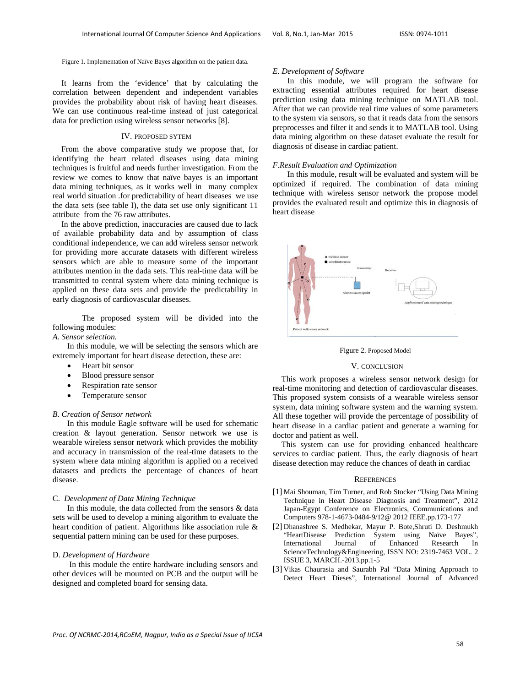Figure 1. Implementation of Naïve Bayes algorithm on the patient data.

It learns from the 'evidence' that by calculating the correlation between dependent and independent variables provides the probability about risk of having heart diseases. We can use continuous real-time instead of just categorical data for prediction using wireless sensor networks [8].

#### IV. PROPOSED SYTEM

From the above comparative study we propose that, for identifying the heart related diseases using data mining techniques is fruitful and needs further investigation. From the review we comes to know that naïve bayes is an important data mining techniques, as it works well in many complex real world situation .for predictability of heart diseases we use the data sets (see table I), the data set use only significant 11 attribute from the 76 raw attributes.

In the above prediction, inaccuracies are caused due to lack of available probability data and by assumption of class conditional independence, we can add wireless sensor network for providing more accurate datasets with different wireless sensors which are able to measure some of the important attributes mention in the dada sets. This real-time data will be transmitted to central system where data mining technique is applied on these data sets and provide the predictability in early diagnosis of cardiovascular diseases.

The proposed system will be divided into the following modules:

# *A. Sensor selection.*

In this module, we will be selecting the sensors which are extremely important for heart disease detection, these are:

- Heart bit sensor
- Blood pressure sensor
- Respiration rate sensor
- Temperature sensor

# *B. Creation of Sensor network*

In this module Eagle software will be used for schematic creation & layout generation. Sensor network we use is wearable wireless sensor network which provides the mobility and accuracy in transmission of the real-time datasets to the system where data mining algorithm is applied on a received datasets and predicts the percentage of chances of heart disease.

#### C. *Development of Data Mining Technique*

In this module, the data collected from the sensors & data sets will be used to develop a mining algorithm to evaluate the heart condition of patient. Algorithms like association rule & sequential pattern mining can be used for these purposes.

#### D. *Development of Hardware*

 In this module the entire hardware including sensors and other devices will be mounted on PCB and the output will be designed and completed board for sensing data.

#### *E. Development of Software*

In this module, we will program the software for extracting essential attributes required for heart disease prediction using data mining technique on MATLAB tool. After that we can provide real time values of some parameters to the system via sensors, so that it reads data from the sensors preprocesses and filter it and sends it to MATLAB tool. Using data mining algorithm on these dataset evaluate the result for diagnosis of disease in cardiac patient.

#### *F.Result Evaluation and Optimization*

In this module, result will be evaluated and system will be optimized if required. The combination of data mining technique with wireless sensor network the propose model provides the evaluated result and optimize this in diagnosis of heart disease



Figure 2. Proposed Model

# V. CONCLUSION

This work proposes a wireless sensor network design for real-time monitoring and detection of cardiovascular diseases. This proposed system consists of a wearable wireless sensor system, data mining software system and the warning system. All these together will provide the percentage of possibility of heart disease in a cardiac patient and generate a warning for doctor and patient as well.

This system can use for providing enhanced healthcare services to cardiac patient. Thus, the early diagnosis of heart disease detection may reduce the chances of death in cardiac

#### **REFERENCES**

- [1] Mai Shouman, Tim Turner, and Rob Stocker "Using Data Mining Technique in Heart Disease Diagnosis and Treatment", 2012 Japan-Egypt Conference on Electronics, Communications and Computers 978-1-4673-0484-9/12@ 2012 IEEE.pp.173-177
- [2] Dhanashree S. Medhekar, Mayur P. Bote,Shruti D. Deshmukh "HeartDisease Prediction System using Naïve Bayes", International Journal of Enhanced Research In ScienceTechnology&Engineering, ISSN NO: 2319-7463 VOL. 2 ISSUE 3, MARCH.-2013.pp.1-5
- [3] Vikas Chaurasia and Saurabh Pal "Data Mining Approach to Detect Heart Dieses", International Journal of Advanced